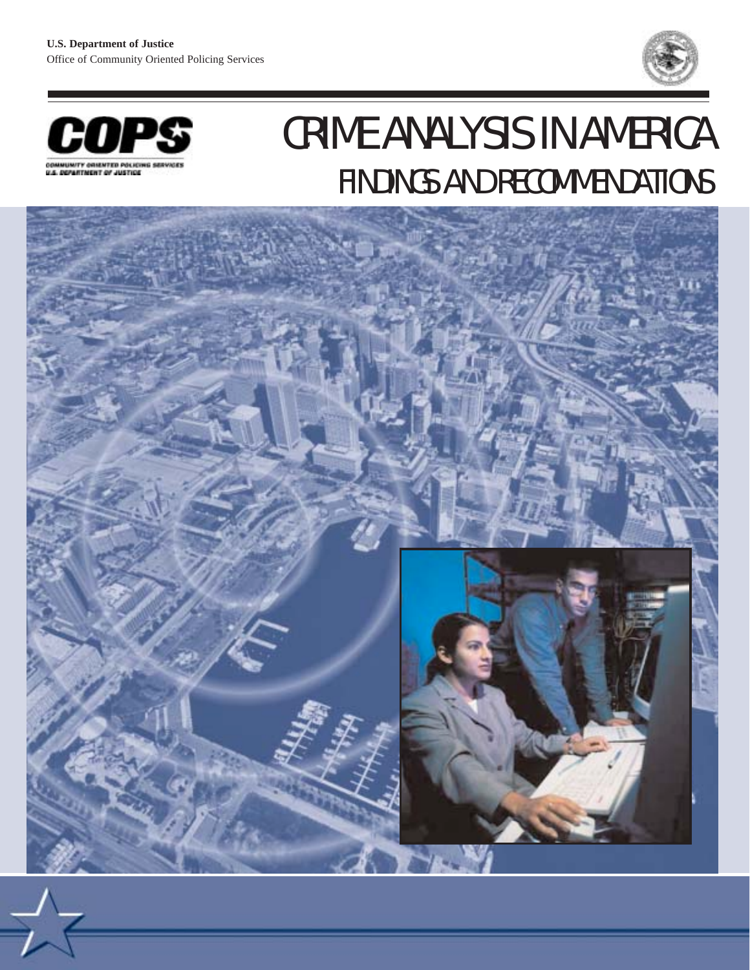



# CRIME ANALYSIS IN AMERICA FINDINGS AND RECOMMENDATIONS

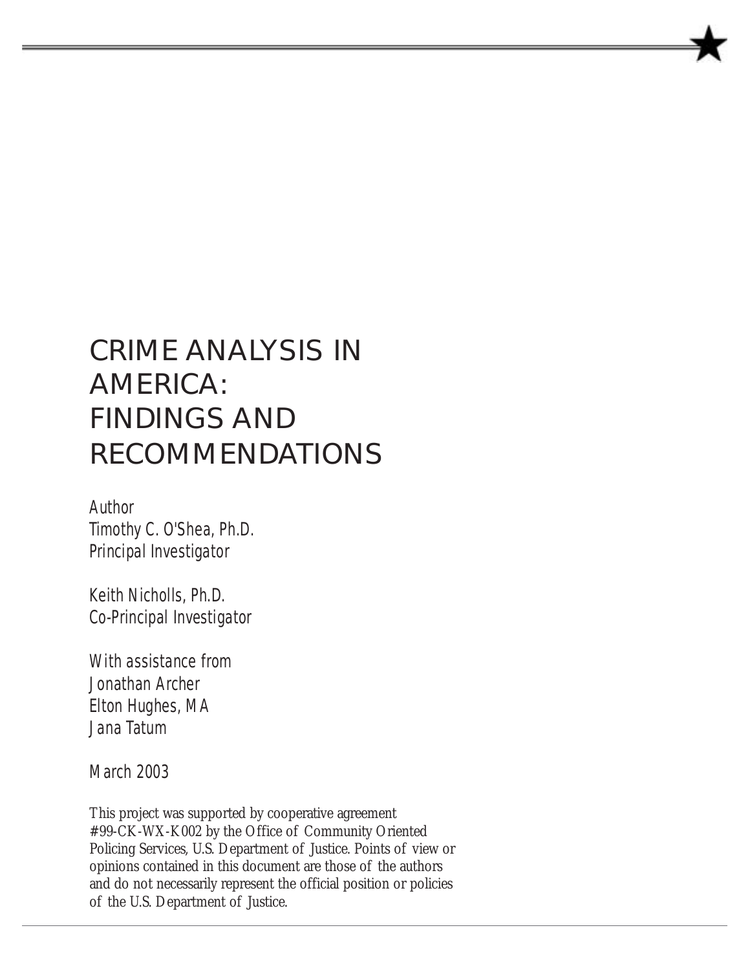# CRIME ANALYSIS IN AMERICA: FINDINGS AND RECOMMENDATIONS

Author Timothy C. O'Shea, Ph.D. Principal Investigator

Keith Nicholls, Ph.D. Co-Principal Investigator

With assistance from Jonathan Archer Elton Hughes, MA Jana Tatum

March 2003

This project was supported by cooperative agreement #99-CK-WX-K002 by the Office of Community Oriented Policing Services, U.S. Department of Justice. Points of view or opinions contained in this document are those of the authors and do not necessarily represent the official position or policies of the U.S. Department of Justice.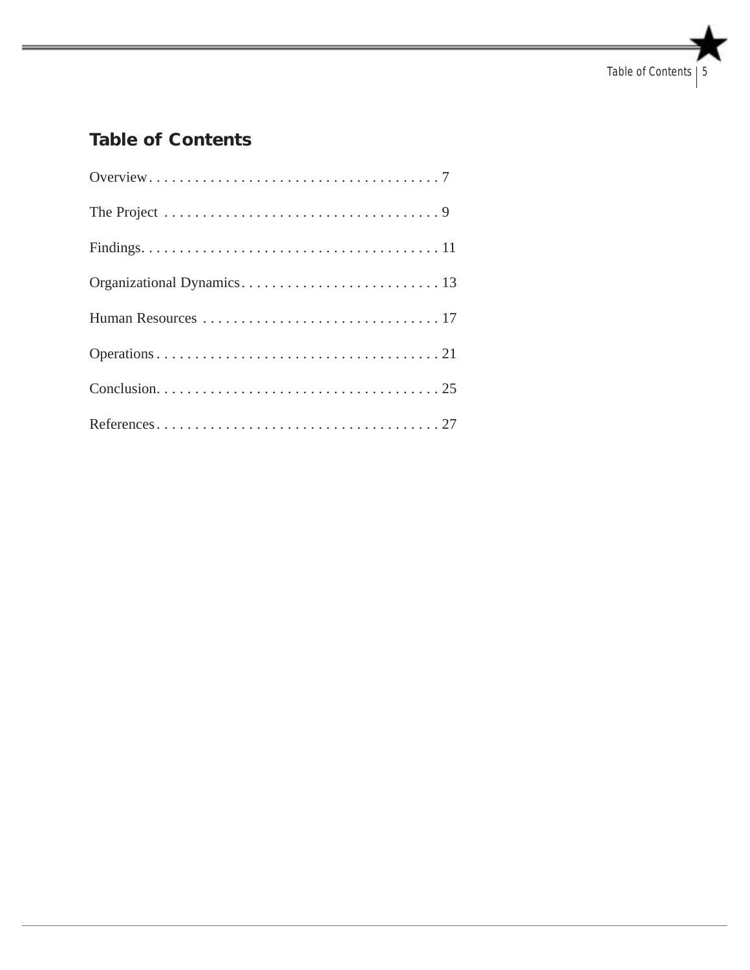# **Table of Contents**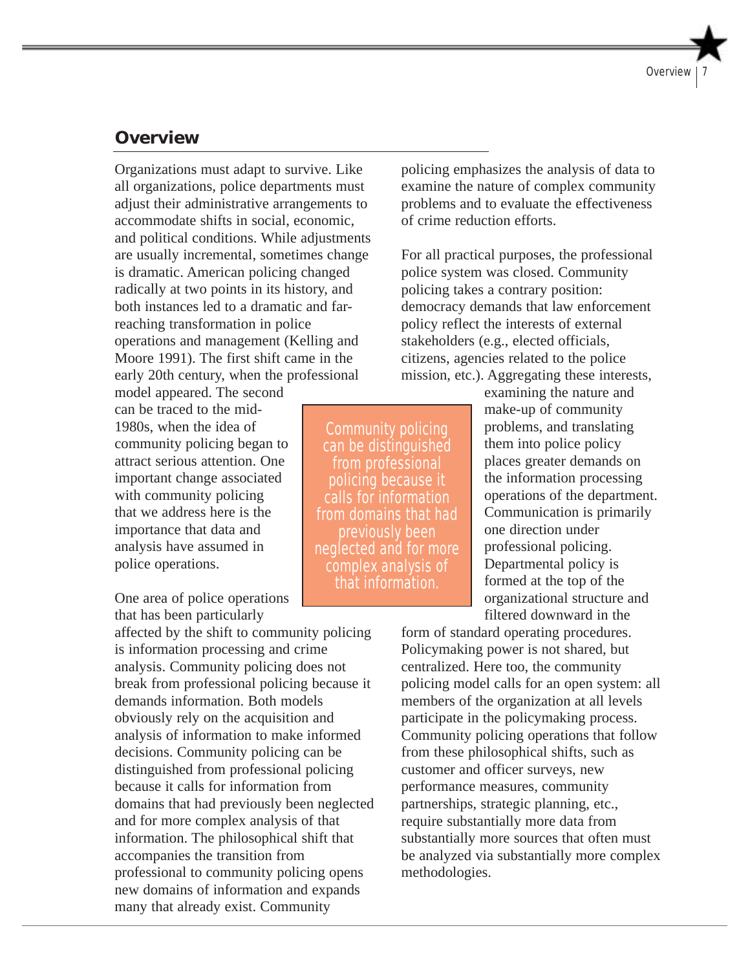### **Overview**

Organizations must adapt to survive. Like all organizations, police departments must adjust their administrative arrangements to accommodate shifts in social, economic, and political conditions. While adjustments are usually incremental, sometimes change is dramatic. American policing changed radically at two points in its history, and both instances led to a dramatic and farreaching transformation in police operations and management (Kelling and Moore 1991). The first shift came in the early 20th century, when the professional

model appeared. The second can be traced to the mid-1980s, when the idea of community policing began to attract serious attention. One important change associated with community policing that we address here is the importance that data and analysis have assumed in police operations.

One area of police operations that has been particularly

affected by the shift to community policing is information processing and crime analysis. Community policing does not break from professional policing because it demands information. Both models obviously rely on the acquisition and analysis of information to make informed decisions. Community policing can be distinguished from professional policing because it calls for information from domains that had previously been neglected and for more complex analysis of that information. The philosophical shift that accompanies the transition from professional to community policing opens new domains of information and expands many that already exist. Community

policing emphasizes the analysis of data to examine the nature of complex community problems and to evaluate the effectiveness of crime reduction efforts.

For all practical purposes, the professional police system was closed. Community policing takes a contrary position: democracy demands that law enforcement policy reflect the interests of external stakeholders (e.g., elected officials, citizens, agencies related to the police mission, etc.). Aggregating these interests,

Community policing can be distinguished from professional policing because it calls for information from domains that had previously been neglected and for more complex analysis of that information.

examining the nature and make-up of community problems, and translating them into police policy places greater demands on the information processing operations of the department. Communication is primarily one direction under professional policing. Departmental policy is formed at the top of the organizational structure and filtered downward in the

form of standard operating procedures. Policymaking power is not shared, but centralized. Here too, the community policing model calls for an open system: all members of the organization at all levels participate in the policymaking process. Community policing operations that follow from these philosophical shifts, such as customer and officer surveys, new performance measures, community partnerships, strategic planning, etc., require substantially more data from substantially more sources that often must be analyzed via substantially more complex methodologies.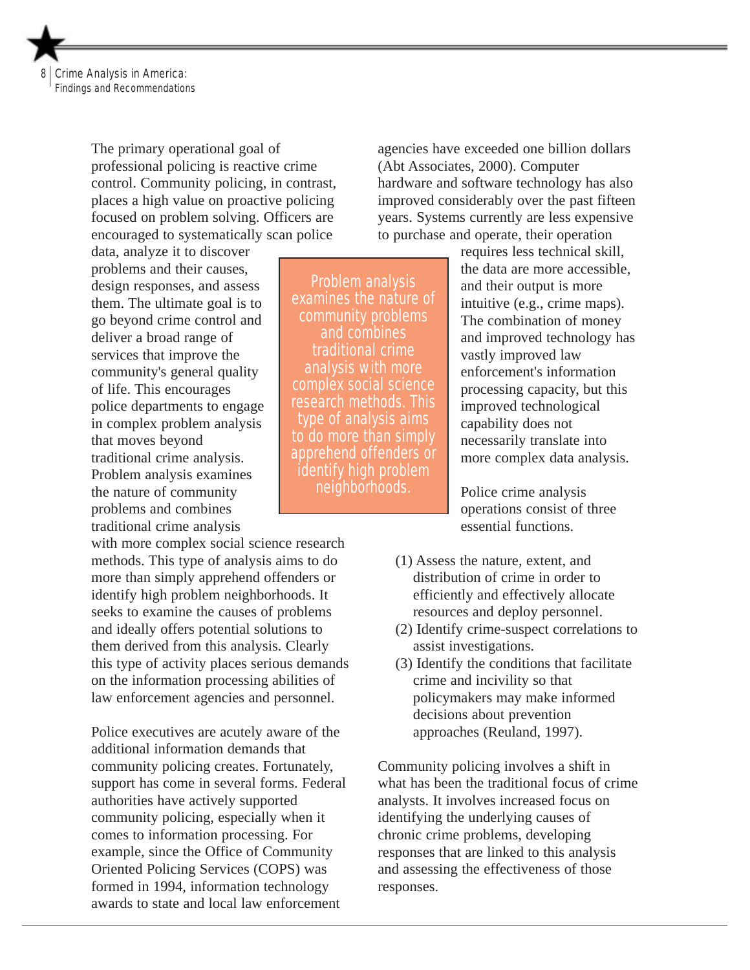

The primary operational goal of professional policing is reactive crime control. Community policing, in contrast, places a high value on proactive policing focused on problem solving. Officers are encouraged to systematically scan police

data, analyze it to discover problems and their causes, design responses, and assess them. The ultimate goal is to go beyond crime control and deliver a broad range of services that improve the community's general quality of life. This encourages police departments to engage in complex problem analysis that moves beyond traditional crime analysis. Problem analysis examines the nature of community problems and combines traditional crime analysis

with more complex social science research methods. This type of analysis aims to do more than simply apprehend offenders or identify high problem neighborhoods. It seeks to examine the causes of problems and ideally offers potential solutions to them derived from this analysis. Clearly this type of activity places serious demands on the information processing abilities of law enforcement agencies and personnel.

Police executives are acutely aware of the additional information demands that community policing creates. Fortunately, support has come in several forms. Federal authorities have actively supported community policing, especially when it comes to information processing. For example, since the Office of Community Oriented Policing Services (COPS) was formed in 1994, information technology awards to state and local law enforcement

agencies have exceeded one billion dollars (Abt Associates, 2000). Computer hardware and software technology has also improved considerably over the past fifteen years. Systems currently are less expensive to purchase and operate, their operation

Problem analysis examines the nature of community problems and combines traditional crime analysis with more complex social science research methods. This type of analysis aims to do more than simply apprehend offenders or identify high problem neighborhoods.

requires less technical skill, the data are more accessible, and their output is more intuitive (e.g., crime maps). The combination of money and improved technology has vastly improved law enforcement's information processing capacity, but this improved technological capability does not necessarily translate into more complex data analysis.

Police crime analysis operations consist of three essential functions.

- (1) Assess the nature, extent, and distribution of crime in order to efficiently and effectively allocate resources and deploy personnel.
	- (2) Identify crime-suspect correlations to assist investigations.
	- (3) Identify the conditions that facilitate crime and incivility so that policymakers may make informed decisions about prevention approaches (Reuland, 1997).

Community policing involves a shift in what has been the traditional focus of crime analysts. It involves increased focus on identifying the underlying causes of chronic crime problems, developing responses that are linked to this analysis and assessing the effectiveness of those responses.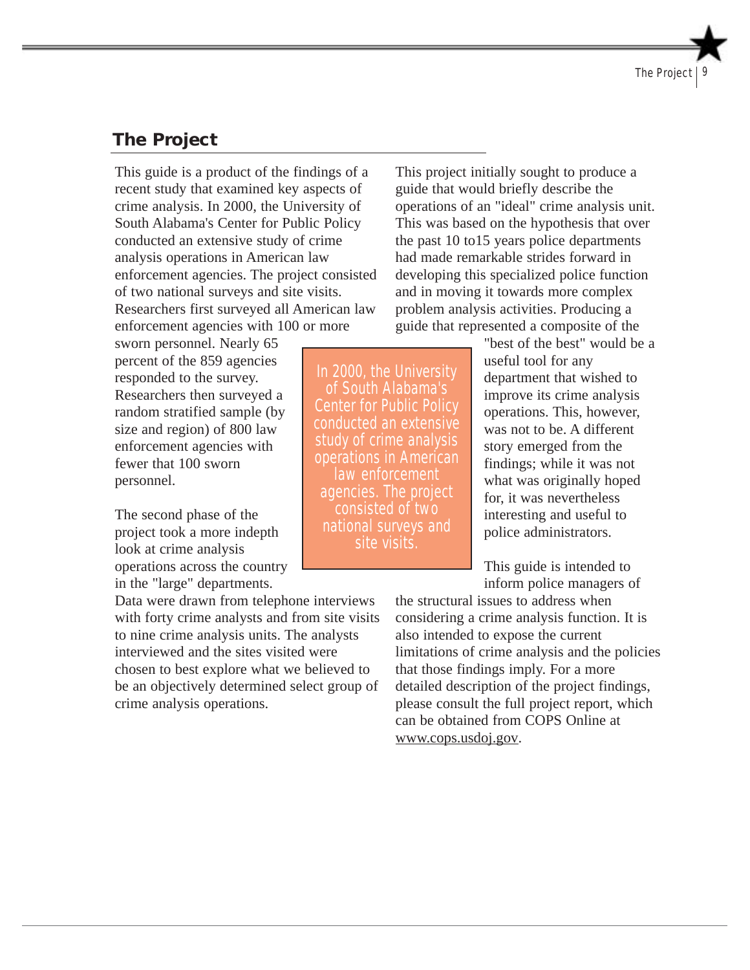# **The Project**

This guide is a product of the findings of a recent study that examined key aspects of crime analysis. In 2000, the University of South Alabama's Center for Public Policy conducted an extensive study of crime analysis operations in American law enforcement agencies. The project consisted of two national surveys and site visits. Researchers first surveyed all American law enforcement agencies with 100 or more

sworn personnel. Nearly 65 percent of the 859 agencies responded to the survey. Researchers then surveyed a random stratified sample (by size and region) of 800 law enforcement agencies with fewer that 100 sworn personnel.

The second phase of the project took a more indepth look at crime analysis operations across the country in the "large" departments.

Data were drawn from telephone interviews with forty crime analysts and from site visits to nine crime analysis units. The analysts interviewed and the sites visited were chosen to best explore what we believed to be an objectively determined select group of crime analysis operations.

This project initially sought to produce a guide that would briefly describe the operations of an "ideal" crime analysis unit. This was based on the hypothesis that over the past 10 to15 years police departments had made remarkable strides forward in developing this specialized police function and in moving it towards more complex problem analysis activities. Producing a guide that represented a composite of the

"best of the best" would be a useful tool for any department that wished to improve its crime analysis operations. This, however, was not to be. A different story emerged from the findings; while it was not what was originally hoped for, it was nevertheless interesting and useful to police administrators.

This guide is intended to inform police managers of

the structural issues to address when considering a crime analysis function. It is also intended to expose the current limitations of crime analysis and the policies that those findings imply. For a more detailed description of the project findings, please consult the full project report, which can be obtained from COPS Online at www.cops.usdoj.gov.

In 2000, the University of South Alabama's Center for Public Policy conducted an extensive study of crime analysis operations in American law enforcement agencies. The project consisted of two national surveys and site visits.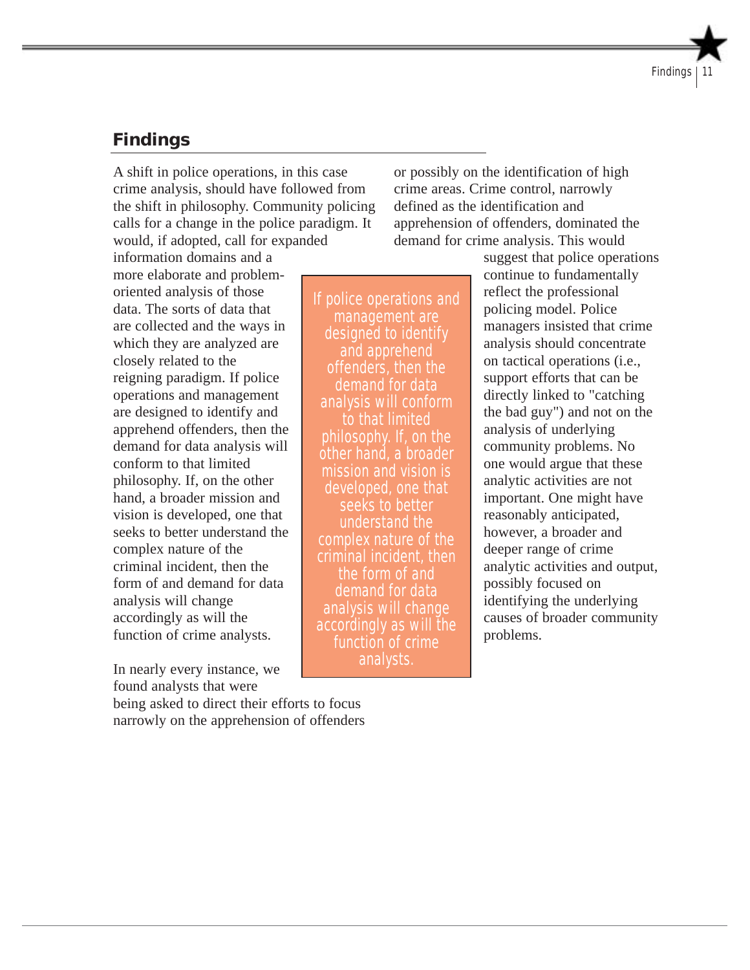# **Findings**

A shift in police operations, in this case crime analysis, should have followed from the shift in philosophy. Community policing calls for a change in the police paradigm. It would, if adopted, call for expanded

or possibly on the identification of high crime areas. Crime control, narrowly defined as the identification and apprehension of offenders, dominated the demand for crime analysis. This would

information domains and a more elaborate and problemoriented analysis of those data. The sorts of data that are collected and the ways in which they are analyzed are closely related to the reigning paradigm. If police operations and management are designed to identify and apprehend offenders, then the demand for data analysis will conform to that limited philosophy. If, on the other hand, a broader mission and vision is developed, one that seeks to better understand the complex nature of the criminal incident, then the form of and demand for data analysis will change accordingly as will the function of crime analysts.

In nearly every instance, we found analysts that were

being asked to direct their efforts to focus narrowly on the apprehension of offenders

If police operations and management are designed to identify and apprehend offenders, then the demand for data analysis will conform to that limited philosophy. If, on the other hand, a broader mission and vision is developed, one that seeks to better understand the complex nature of the criminal incident, then the form of and demand for data analysis will change accordingly as will the function of crime analysts.

suggest that police operations continue to fundamentally reflect the professional policing model. Police managers insisted that crime analysis should concentrate on tactical operations (i.e., support efforts that can be directly linked to "catching the bad guy") and not on the analysis of underlying community problems. No one would argue that these analytic activities are not important. One might have reasonably anticipated, however, a broader and deeper range of crime analytic activities and output, possibly focused on identifying the underlying causes of broader community problems.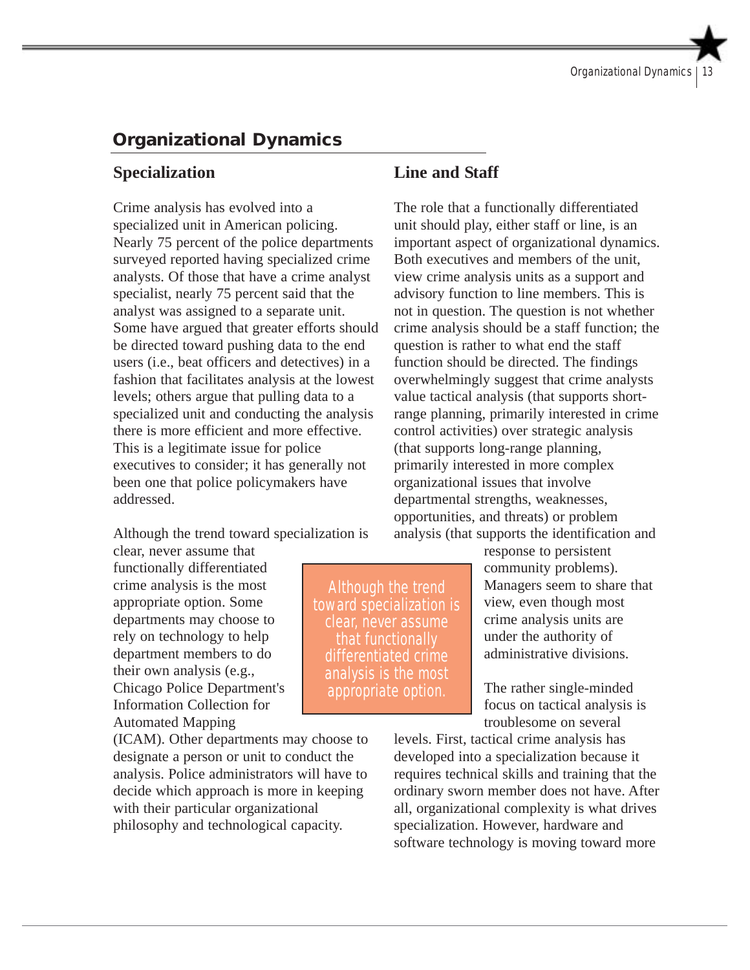# **Organizational Dynamics**

#### **Specialization**

Crime analysis has evolved into a specialized unit in American policing. Nearly 75 percent of the police departments surveyed reported having specialized crime analysts. Of those that have a crime analyst specialist, nearly 75 percent said that the analyst was assigned to a separate unit. Some have argued that greater efforts should be directed toward pushing data to the end users (i.e., beat officers and detectives) in a fashion that facilitates analysis at the lowest levels; others argue that pulling data to a specialized unit and conducting the analysis there is more efficient and more effective. This is a legitimate issue for police executives to consider; it has generally not been one that police policymakers have addressed.

Although the trend toward specialization is

clear, never assume that functionally differentiated crime analysis is the most appropriate option. Some departments may choose to rely on technology to help department members to do their own analysis (e.g., Chicago Police Department's Information Collection for Automated Mapping

(ICAM). Other departments may choose to designate a person or unit to conduct the analysis. Police administrators will have to decide which approach is more in keeping with their particular organizational philosophy and technological capacity.

## **Line and Staff**

The role that a functionally differentiated unit should play, either staff or line, is an important aspect of organizational dynamics. Both executives and members of the unit, view crime analysis units as a support and advisory function to line members. This is not in question. The question is not whether crime analysis should be a staff function; the question is rather to what end the staff function should be directed. The findings overwhelmingly suggest that crime analysts value tactical analysis (that supports shortrange planning, primarily interested in crime control activities) over strategic analysis (that supports long-range planning, primarily interested in more complex organizational issues that involve departmental strengths, weaknesses, opportunities, and threats) or problem analysis (that supports the identification and

> response to persistent community problems). Managers seem to share that view, even though most crime analysis units are under the authority of administrative divisions.

The rather single-minded focus on tactical analysis is troublesome on several

levels. First, tactical crime analysis has developed into a specialization because it requires technical skills and training that the ordinary sworn member does not have. After all, organizational complexity is what drives specialization. However, hardware and software technology is moving toward more

Although the trend toward specialization is clear, never assume that functionally differentiated crime analysis is the most appropriate option.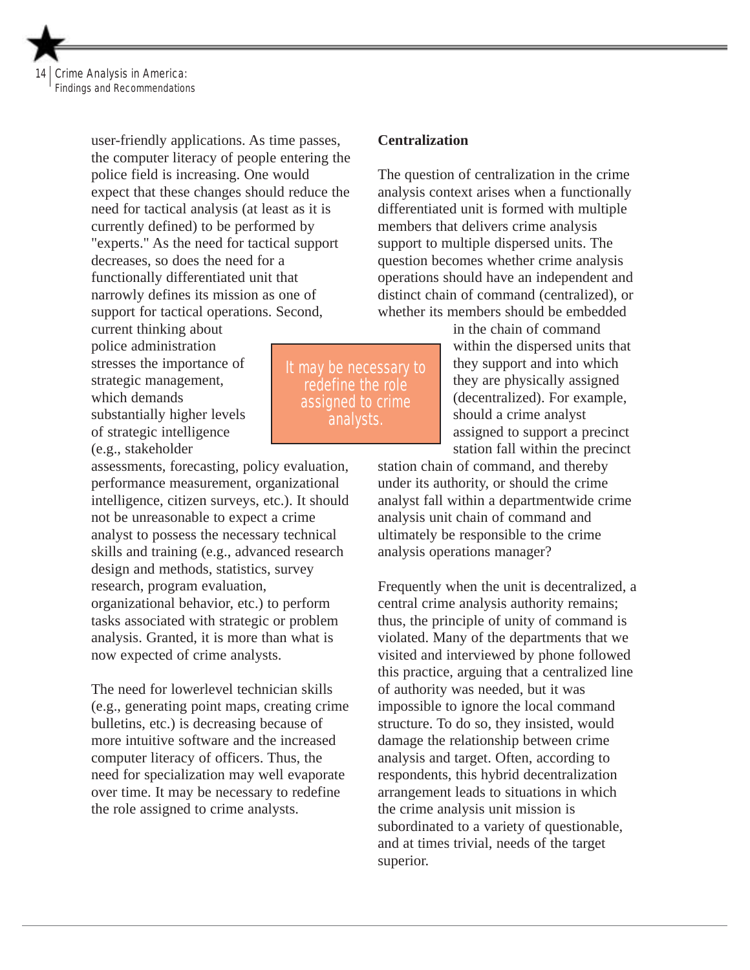Crime Analysis in America: Findings and Recommendations

> user-friendly applications. As time passes, the computer literacy of people entering the police field is increasing. One would expect that these changes should reduce the need for tactical analysis (at least as it is currently defined) to be performed by "experts." As the need for tactical support decreases, so does the need for a functionally differentiated unit that narrowly defines its mission as one of support for tactical operations. Second,

current thinking about police administration stresses the importance of strategic management, which demands substantially higher levels of strategic intelligence (e.g., stakeholder

assessments, forecasting, policy evaluation, performance measurement, organizational intelligence, citizen surveys, etc.). It should not be unreasonable to expect a crime analyst to possess the necessary technical skills and training (e.g., advanced research design and methods, statistics, survey research, program evaluation, organizational behavior, etc.) to perform tasks associated with strategic or problem analysis. Granted, it is more than what is now expected of crime analysts.

The need for lowerlevel technician skills (e.g., generating point maps, creating crime bulletins, etc.) is decreasing because of more intuitive software and the increased computer literacy of officers. Thus, the need for specialization may well evaporate over time. It may be necessary to redefine the role assigned to crime analysts.

It may be necessary to redefine the role assigned to crime analysts.

#### **Centralization**

The question of centralization in the crime analysis context arises when a functionally differentiated unit is formed with multiple members that delivers crime analysis support to multiple dispersed units. The question becomes whether crime analysis operations should have an independent and distinct chain of command (centralized), or whether its members should be embedded

> in the chain of command within the dispersed units that they support and into which they are physically assigned (decentralized). For example, should a crime analyst assigned to support a precinct station fall within the precinct

station chain of command, and thereby under its authority, or should the crime analyst fall within a departmentwide crime analysis unit chain of command and ultimately be responsible to the crime analysis operations manager?

Frequently when the unit is decentralized, a central crime analysis authority remains; thus, the principle of unity of command is violated. Many of the departments that we visited and interviewed by phone followed this practice, arguing that a centralized line of authority was needed, but it was impossible to ignore the local command structure. To do so, they insisted, would damage the relationship between crime analysis and target. Often, according to respondents, this hybrid decentralization arrangement leads to situations in which the crime analysis unit mission is subordinated to a variety of questionable, and at times trivial, needs of the target superior.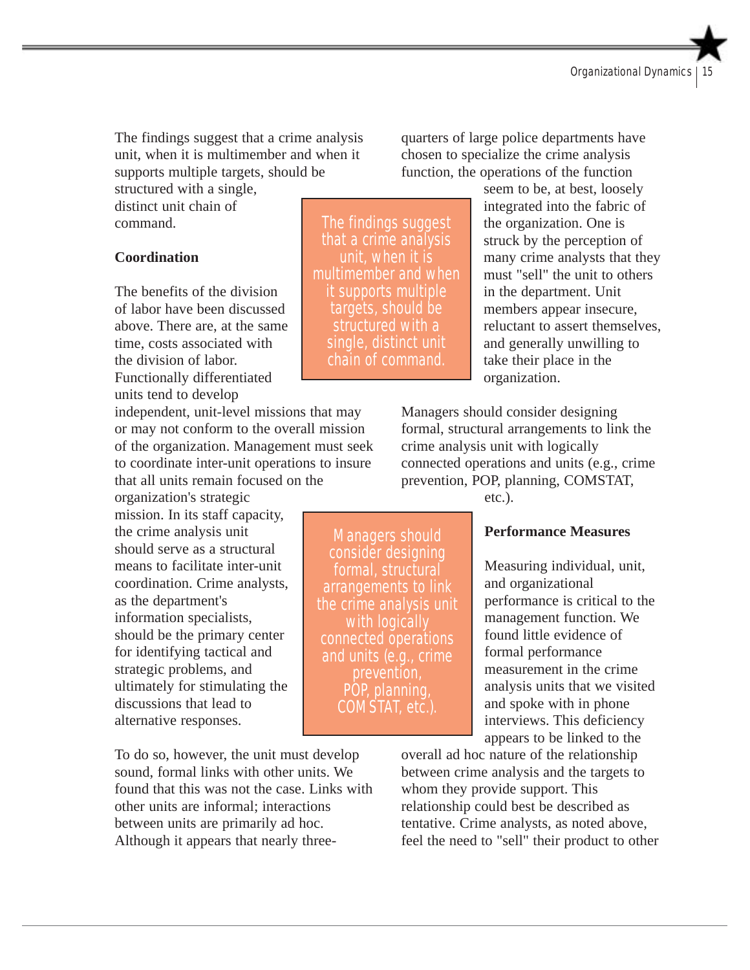The findings suggest that a crime analysis unit, when it is multimember and when it supports multiple targets, should be

structured with a single, distinct unit chain of command.

#### **Coordination**

The benefits of the division of labor have been discussed above. There are, at the same time, costs associated with the division of labor. Functionally differentiated units tend to develop

independent, unit-level missions that may or may not conform to the overall mission of the organization. Management must seek to coordinate inter-unit operations to insure that all units remain focused on the

organization's strategic mission. In its staff capacity, the crime analysis unit should serve as a structural means to facilitate inter-unit coordination. Crime analysts, as the department's information specialists, should be the primary center for identifying tactical and strategic problems, and ultimately for stimulating the discussions that lead to alternative responses.

To do so, however, the unit must develop sound, formal links with other units. We found that this was not the case. Links with other units are informal; interactions between units are primarily ad hoc. Although it appears that nearly three-

The findings suggest that a crime analysis unit, when it is multimember and when it supports multiple targets, should be structured with a single, distinct unit chain of command.

Managers should consider designing formal, structural arrangements to link the crime analysis unit with logically connected operations and units (e.g., crime prevention, POP, planning, COMSTAT, etc.).

quarters of large police departments have chosen to specialize the crime analysis function, the operations of the function

> seem to be, at best, loosely integrated into the fabric of the organization. One is struck by the perception of many crime analysts that they must "sell" the unit to others in the department. Unit members appear insecure, reluctant to assert themselves, and generally unwilling to take their place in the organization.

Managers should consider designing formal, structural arrangements to link the crime analysis unit with logically connected operations and units (e.g., crime prevention, POP, planning, COMSTAT,

etc.).

#### **Performance Measures**

Measuring individual, unit, and organizational performance is critical to the management function. We found little evidence of formal performance measurement in the crime analysis units that we visited and spoke with in phone interviews. This deficiency appears to be linked to the

overall ad hoc nature of the relationship between crime analysis and the targets to whom they provide support. This relationship could best be described as tentative. Crime analysts, as noted above, feel the need to "sell" their product to other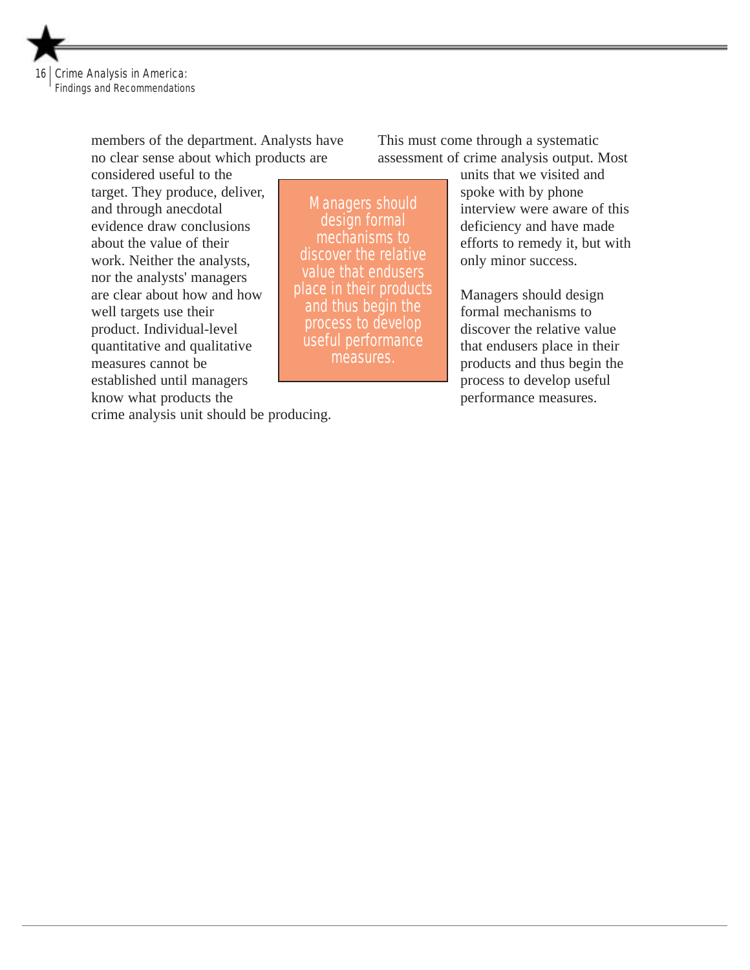

members of the department. Analysts have no clear sense about which products are

considered useful to the target. They produce, deliver, and through anecdotal evidence draw conclusions about the value of their work. Neither the analysts, nor the analysts' managers are clear about how and how well targets use their product. Individual-level quantitative and qualitative measures cannot be established until managers know what products the

Managers should design formal mechanisms to discover the relative value that endusers place in their products and thus begin the process to develop useful performance measures.

This must come through a systematic assessment of crime analysis output. Most

> units that we visited and spoke with by phone interview were aware of this deficiency and have made efforts to remedy it, but with only minor success.

Managers should design formal mechanisms to discover the relative value that endusers place in their products and thus begin the process to develop useful performance measures.

crime analysis unit should be producing.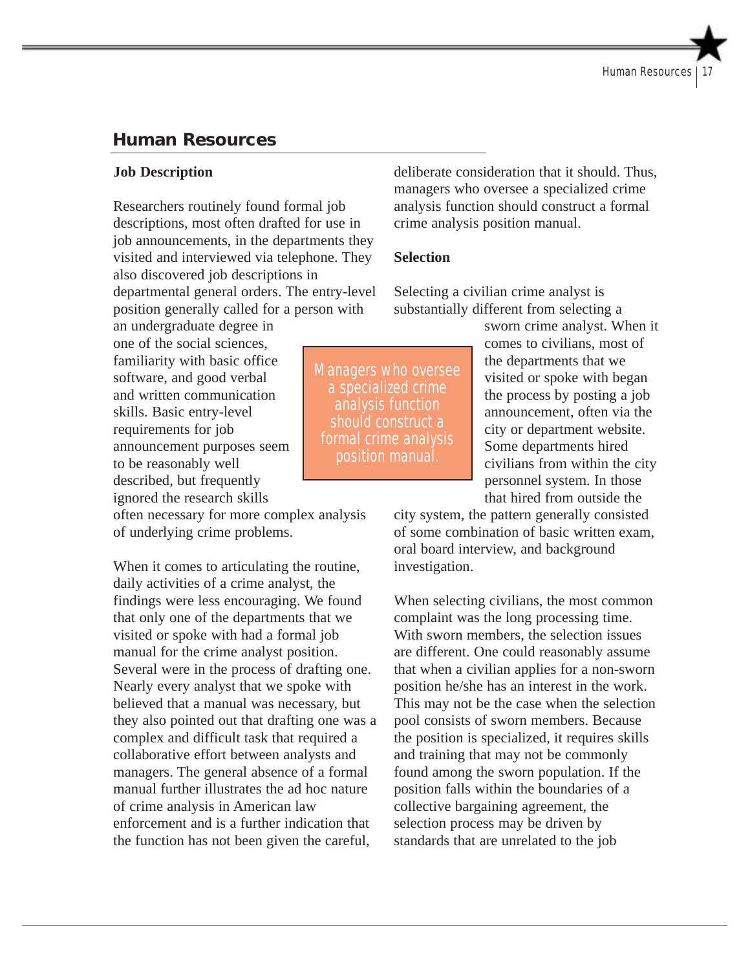# **Human Resources**

#### **Job Description**

Researchers routinely found formal job descriptions, most often drafted for use in job announcements, in the departments they visited and interviewed via telephone. They also discovered job descriptions in departmental general orders. The entry-level position generally called for a person with

an undergraduate degree in one of the social sciences, familiarity with basic office software, and good verbal and written communication skills. Basic entry-level requirements for job announcement purposes seem to be reasonably well described, but frequently ignored the research skills

often necessary for more complex analysis of underlying crime problems.

When it comes to articulating the routine, daily activities of a crime analyst, the findings were less encouraging. We found that only one of the departments that we visited or spoke with had a formal job manual for the crime analyst position. Several were in the process of drafting one. Nearly every analyst that we spoke with believed that a manual was necessary, but they also pointed out that drafting one was a complex and difficult task that required a collaborative effort between analysts and managers. The general absence of a formal manual further illustrates the ad hoc nature of crime analysis in American law enforcement and is a further indication that the function has not been given the careful,

deliberate consideration that it should. Thus, managers who oversee a specialized crime analysis function should construct a formal crime analysis position manual.

#### **Selection**

Selecting a civilian crime analyst is substantially different from selecting a

Managers who oversee a specialized crime analysis function should construct a formal crime analysis position manual.

sworn crime analyst. When it comes to civilians, most of the departments that we visited or spoke with began the process by posting a job announcement, often via the city or department website. Some departments hired civilians from within the city personnel system. In those that hired from outside the

city system, the pattern generally consisted of some combination of basic written exam, oral board interview, and background investigation.

When selecting civilians, the most common complaint was the long processing time. With sworn members, the selection issues are different. One could reasonably assume that when a civilian applies for a non-sworn position he/she has an interest in the work. This may not be the case when the selection pool consists of sworn members. Because the position is specialized, it requires skills and training that may not be commonly found among the sworn population. If the position falls within the boundaries of a collective bargaining agreement, the selection process may be driven by standards that are unrelated to the job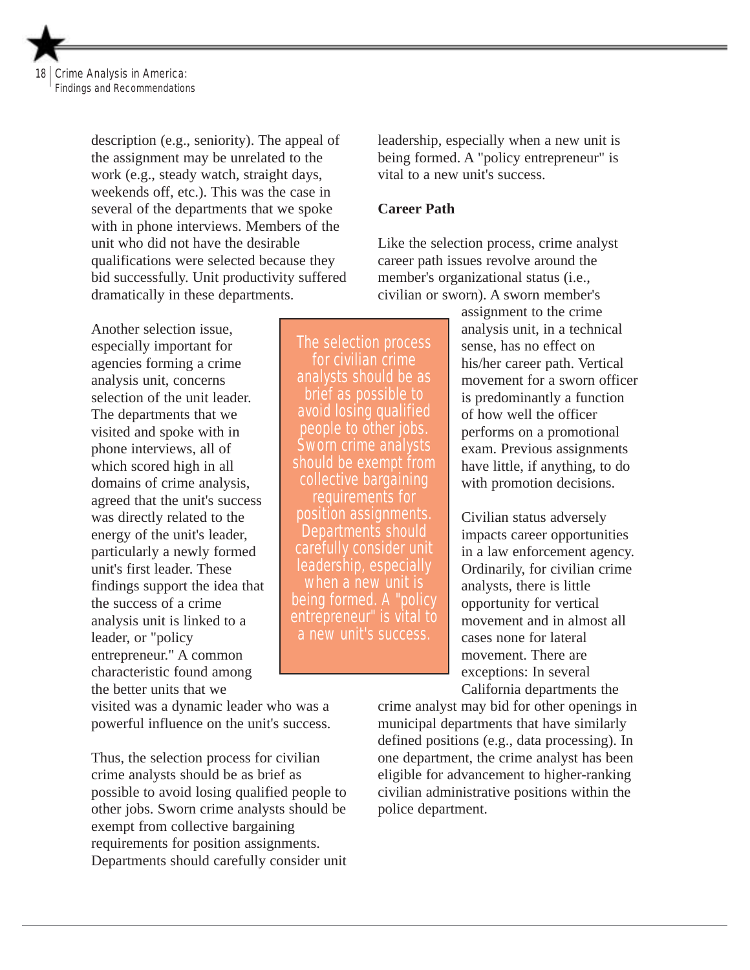Crime Analysis in America: Findings and Recommendations

> description (e.g., seniority). The appeal of the assignment may be unrelated to the work (e.g., steady watch, straight days, weekends off, etc.). This was the case in several of the departments that we spoke with in phone interviews. Members of the unit who did not have the desirable qualifications were selected because they bid successfully. Unit productivity suffered dramatically in these departments.

Another selection issue, especially important for agencies forming a crime analysis unit, concerns selection of the unit leader. The departments that we visited and spoke with in phone interviews, all of which scored high in all domains of crime analysis, agreed that the unit's success was directly related to the energy of the unit's leader, particularly a newly formed unit's first leader. These findings support the idea that the success of a crime analysis unit is linked to a leader, or "policy entrepreneur." A common characteristic found among the better units that we

visited was a dynamic leader who was a powerful influence on the unit's success.

Thus, the selection process for civilian crime analysts should be as brief as possible to avoid losing qualified people to other jobs. Sworn crime analysts should be exempt from collective bargaining requirements for position assignments. Departments should carefully consider unit leadership, especially when a new unit is being formed. A "policy entrepreneur" is vital to a new unit's success.

#### **Career Path**

Like the selection process, crime analyst career path issues revolve around the member's organizational status (i.e., civilian or sworn). A sworn member's

> assignment to the crime analysis unit, in a technical sense, has no effect on his/her career path. Vertical movement for a sworn officer is predominantly a function of how well the officer performs on a promotional exam. Previous assignments have little, if anything, to do with promotion decisions.

Civilian status adversely impacts career opportunities in a law enforcement agency. Ordinarily, for civilian crime analysts, there is little opportunity for vertical movement and in almost all cases none for lateral movement. There are exceptions: In several California departments the

crime analyst may bid for other openings in municipal departments that have similarly defined positions (e.g., data processing). In one department, the crime analyst has been eligible for advancement to higher-ranking civilian administrative positions within the police department.

The selection process for civilian crime analysts should be as brief as possible to avoid losing qualified people to other jobs. Sworn crime analysts should be exempt from collective bargaining requirements for position assignments. Departments should carefully consider unit leadership, especially when a new unit is being formed. A "policy entrepreneur" is vital to a new unit's success.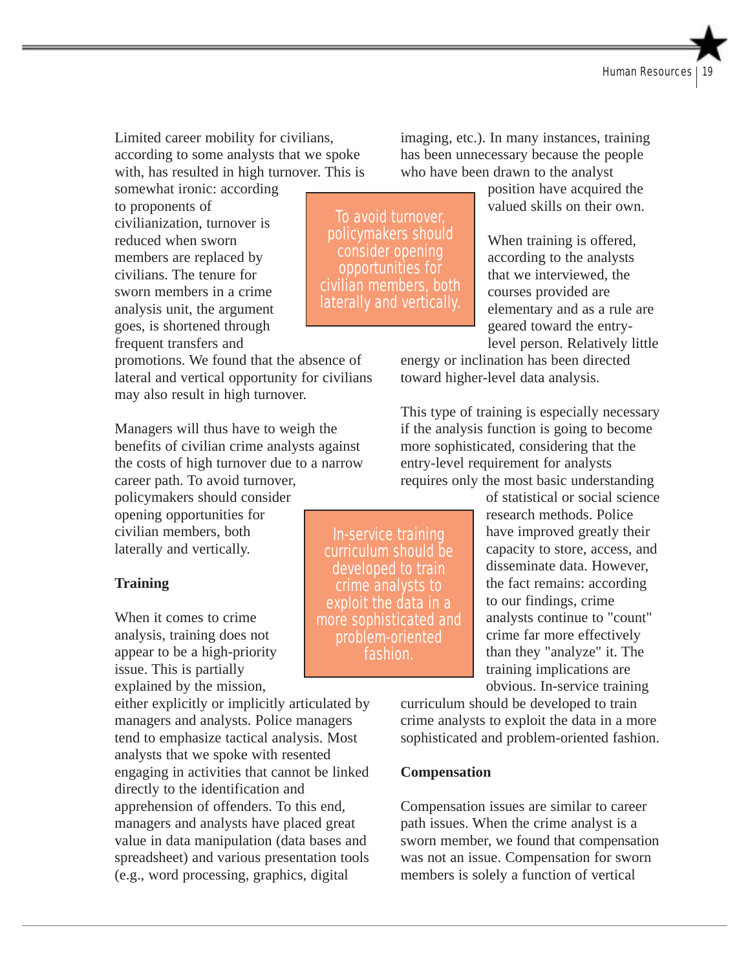Limited career mobility for civilians, according to some analysts that we spoke with, has resulted in high turnover. This is

somewhat ironic: according to proponents of civilianization, turnover is reduced when sworn members are replaced by civilians. The tenure for sworn members in a crime analysis unit, the argument goes, is shortened through frequent transfers and

promotions. We found that the absence of lateral and vertical opportunity for civilians may also result in high turnover.

Managers will thus have to weigh the benefits of civilian crime analysts against the costs of high turnover due to a narrow career path. To avoid turnover,

policymakers should consider opening opportunities for civilian members, both laterally and vertically.

#### **Training**

When it comes to crime analysis, training does not appear to be a high-priority issue. This is partially explained by the mission,

either explicitly or implicitly articulated by managers and analysts. Police managers tend to emphasize tactical analysis. Most analysts that we spoke with resented engaging in activities that cannot be linked directly to the identification and apprehension of offenders. To this end, managers and analysts have placed great value in data manipulation (data bases and spreadsheet) and various presentation tools (e.g., word processing, graphics, digital

To avoid turnover, policymakers should consider opening opportunities for civilian members, both laterally and vertically.

imaging, etc.). In many instances, training has been unnecessary because the people who have been drawn to the analyst

> position have acquired the valued skills on their own.

When training is offered, according to the analysts that we interviewed, the courses provided are elementary and as a rule are geared toward the entrylevel person. Relatively little

energy or inclination has been directed toward higher-level data analysis.

This type of training is especially necessary if the analysis function is going to become more sophisticated, considering that the entry-level requirement for analysts requires only the most basic understanding

> of statistical or social science research methods. Police have improved greatly their capacity to store, access, and disseminate data. However, the fact remains: according to our findings, crime analysts continue to "count" crime far more effectively than they "analyze" it. The training implications are obvious. In-service training

curriculum should be developed to train crime analysts to exploit the data in a more sophisticated and problem-oriented fashion.

#### **Compensation**

Compensation issues are similar to career path issues. When the crime analyst is a sworn member, we found that compensation was not an issue. Compensation for sworn members is solely a function of vertical

In-service training curriculum should be developed to train crime analysts to exploit the data in a more sophisticated and problem-oriented fashion.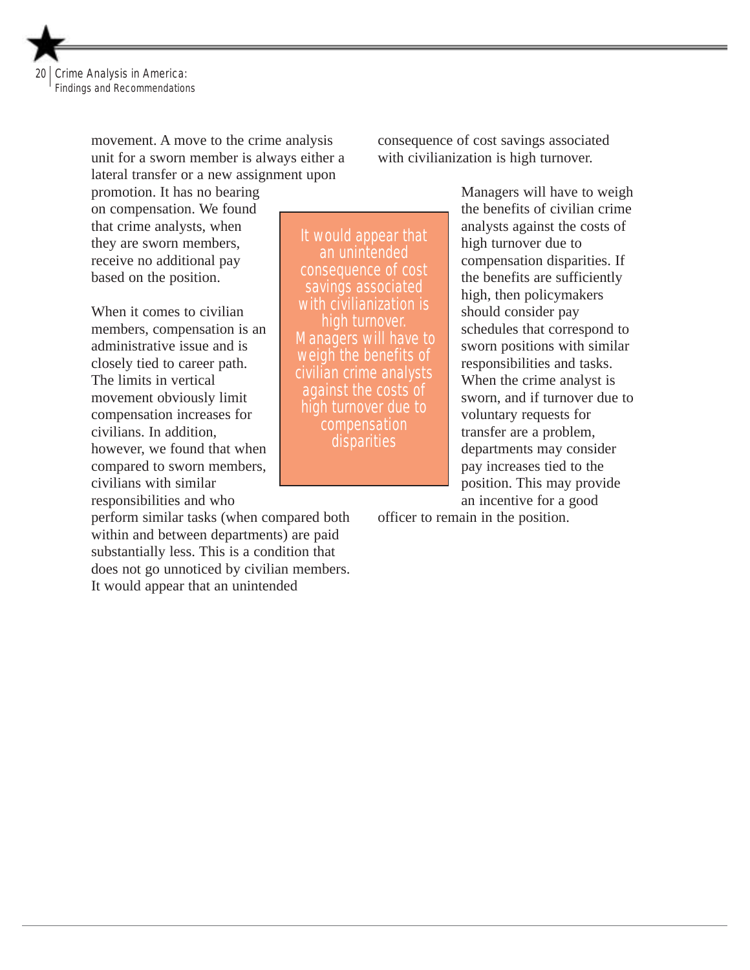

movement. A move to the crime analysis unit for a sworn member is always either a lateral transfer or a new assignment upon

promotion. It has no bearing on compensation. We found that crime analysts, when they are sworn members, receive no additional pay based on the position.

When it comes to civilian members, compensation is an administrative issue and is closely tied to career path. The limits in vertical movement obviously limit compensation increases for civilians. In addition, however, we found that when compared to sworn members, civilians with similar responsibilities and who

perform similar tasks (when compared both within and between departments) are paid substantially less. This is a condition that does not go unnoticed by civilian members. It would appear that an unintended

consequence of cost savings associated with civilianization is high turnover.

It would appear that an unintended consequence of cost savings associated with civilianization is high turnover. Managers will have to weigh the benefits of civilian crime analysts against the costs of high turnover due to compensation disparities

Managers will have to weigh the benefits of civilian crime analysts against the costs of high turnover due to compensation disparities. If the benefits are sufficiently high, then policymakers should consider pay schedules that correspond to sworn positions with similar responsibilities and tasks. When the crime analyst is sworn, and if turnover due to voluntary requests for transfer are a problem, departments may consider pay increases tied to the position. This may provide an incentive for a good

officer to remain in the position.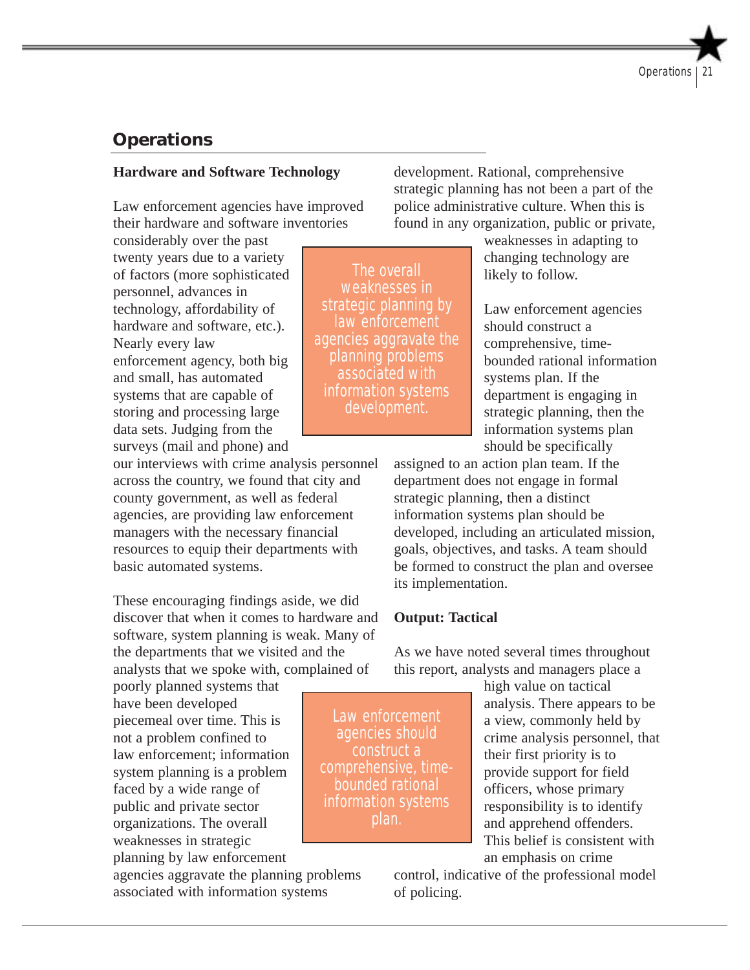# **Operations**

#### **Hardware and Software Technology**

Law enforcement agencies have improved their hardware and software inventories

considerably over the past twenty years due to a variety of factors (more sophisticated personnel, advances in technology, affordability of hardware and software, etc.). Nearly every law enforcement agency, both big and small, has automated systems that are capable of storing and processing large data sets. Judging from the surveys (mail and phone) and

our interviews with crime analysis personnel across the country, we found that city and county government, as well as federal agencies, are providing law enforcement managers with the necessary financial resources to equip their departments with basic automated systems.

These encouraging findings aside, we did discover that when it comes to hardware and software, system planning is weak. Many of the departments that we visited and the analysts that we spoke with, complained of

poorly planned systems that have been developed piecemeal over time. This is not a problem confined to law enforcement; information system planning is a problem faced by a wide range of public and private sector organizations. The overall weaknesses in strategic planning by law enforcement

agencies aggravate the planning problems associated with information systems

development. Rational, comprehensive strategic planning has not been a part of the police administrative culture. When this is found in any organization, public or private,

> weaknesses in adapting to changing technology are likely to follow.

Law enforcement agencies should construct a comprehensive, timebounded rational information systems plan. If the department is engaging in strategic planning, then the information systems plan should be specifically

assigned to an action plan team. If the department does not engage in formal strategic planning, then a distinct information systems plan should be developed, including an articulated mission, goals, objectives, and tasks. A team should be formed to construct the plan and oversee its implementation.

#### **Output: Tactical**

As we have noted several times throughout this report, analysts and managers place a

Law enforcement agencies should construct a comprehensive, timebounded rational information systems plan.

high value on tactical analysis. There appears to be a view, commonly held by crime analysis personnel, that their first priority is to provide support for field officers, whose primary responsibility is to identify and apprehend offenders. This belief is consistent with an emphasis on crime

control, indicative of the professional model of policing.

The overall weaknesses in strategic planning by law enforcement agencies aggravate the planning problems associated with information systems development.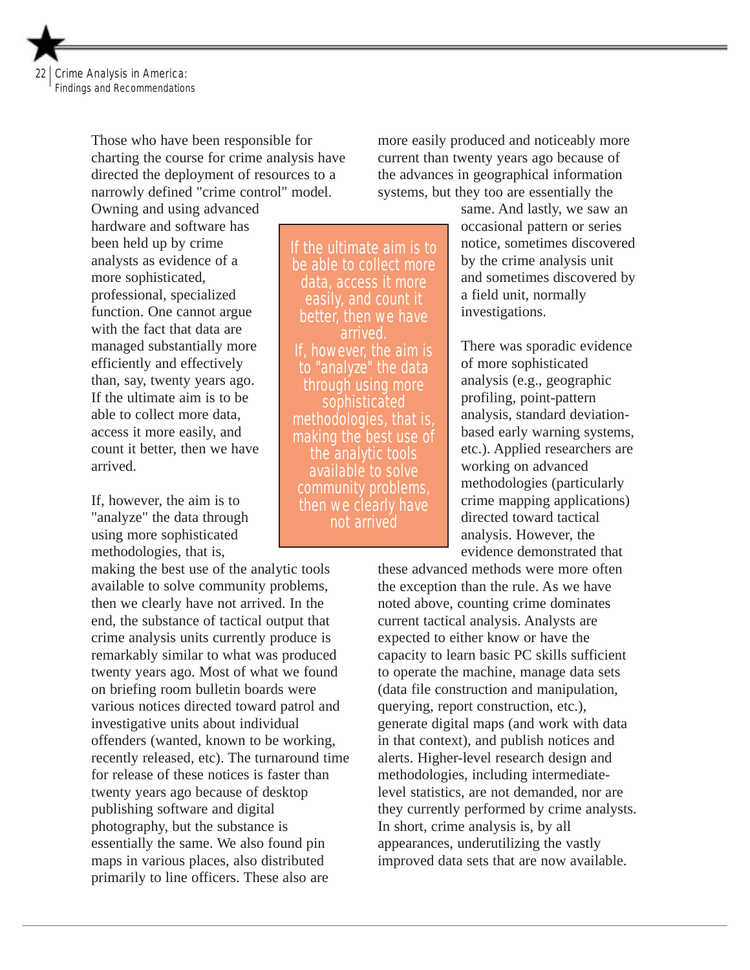

Those who have been responsible for charting the course for crime analysis have directed the deployment of resources to a narrowly defined "crime control" model.

Owning and using advanced hardware and software has been held up by crime analysts as evidence of a more sophisticated, professional, specialized function. One cannot argue with the fact that data are managed substantially more efficiently and effectively than, say, twenty years ago. If the ultimate aim is to be able to collect more data, access it more easily, and count it better, then we have arrived.

If, however, the aim is to "analyze" the data through using more sophisticated methodologies, that is,

making the best use of the analytic tools available to solve community problems, then we clearly have not arrived. In the end, the substance of tactical output that crime analysis units currently produce is remarkably similar to what was produced twenty years ago. Most of what we found on briefing room bulletin boards were various notices directed toward patrol and investigative units about individual offenders (wanted, known to be working, recently released, etc). The turnaround time for release of these notices is faster than twenty years ago because of desktop publishing software and digital photography, but the substance is essentially the same. We also found pin maps in various places, also distributed primarily to line officers. These also are

more easily produced and noticeably more current than twenty years ago because of the advances in geographical information systems, but they too are essentially the

If the ultimate aim is to be able to collect more data, access it more easily, and count it better, then we have arrived. If, however, the aim is to "analyze" the data through using more sophisticated methodologies, that is, making the best use of the analytic tools available to solve community problems, then we clearly have not arrived

same. And lastly, we saw an occasional pattern or series notice, sometimes discovered by the crime analysis unit and sometimes discovered by a field unit, normally investigations.

There was sporadic evidence of more sophisticated analysis (e.g., geographic profiling, point-pattern analysis, standard deviationbased early warning systems, etc.). Applied researchers are working on advanced methodologies (particularly crime mapping applications) directed toward tactical analysis. However, the evidence demonstrated that

these advanced methods were more often the exception than the rule. As we have noted above, counting crime dominates current tactical analysis. Analysts are expected to either know or have the capacity to learn basic PC skills sufficient to operate the machine, manage data sets (data file construction and manipulation, querying, report construction, etc.), generate digital maps (and work with data in that context), and publish notices and alerts. Higher-level research design and methodologies, including intermediatelevel statistics, are not demanded, nor are they currently performed by crime analysts. In short, crime analysis is, by all appearances, underutilizing the vastly improved data sets that are now available.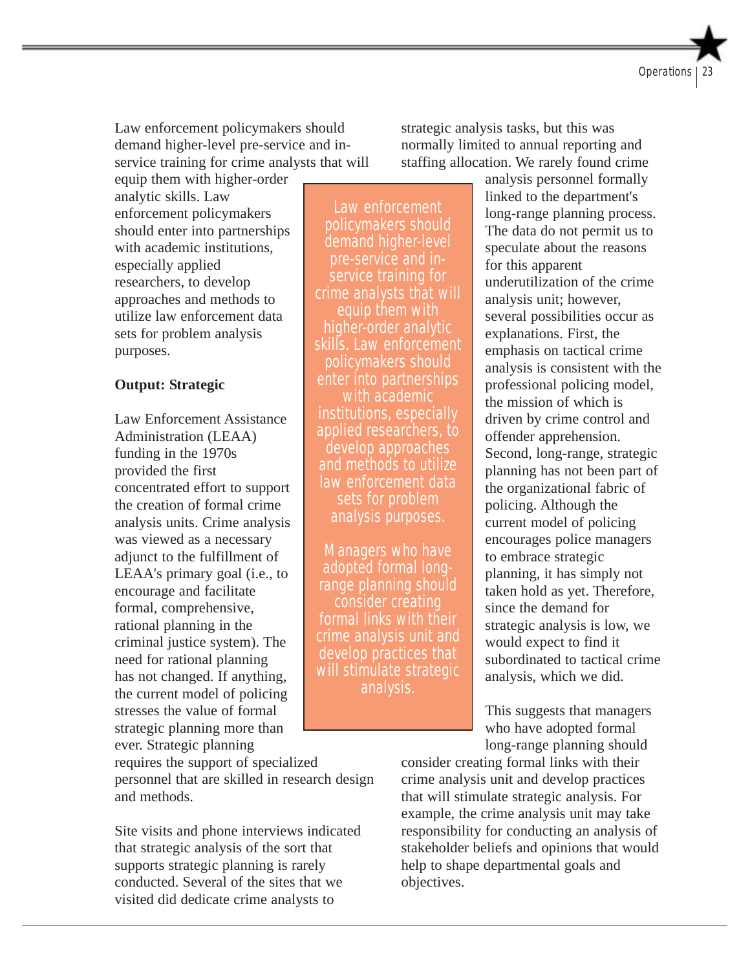Law enforcement policymakers should demand higher-level pre-service and inservice training for crime analysts that will

equip them with higher-order analytic skills. Law enforcement policymakers should enter into partnerships with academic institutions, especially applied researchers, to develop approaches and methods to utilize law enforcement data sets for problem analysis purposes.

#### **Output: Strategic**

Law Enforcement Assistance Administration (LEAA) funding in the 1970s provided the first concentrated effort to support the creation of formal crime analysis units. Crime analysis was viewed as a necessary adjunct to the fulfillment of LEAA's primary goal (i.e., to encourage and facilitate formal, comprehensive, rational planning in the criminal justice system). The need for rational planning has not changed. If anything, the current model of policing stresses the value of formal strategic planning more than ever. Strategic planning

Law enforcement policymakers should demand higher-level pre-service and inservice training for crime analysts that will equip them with higher-order analytic skills. Law enforcement policymakers should enter into partnerships with academic institutions, especially applied researchers, to develop approaches and methods to utilize law enforcement data sets for problem analysis purposes.

Managers who have adopted formal longrange planning should consider creating formal links with their crime analysis unit and develop practices that will stimulate strategic analysis.

strategic analysis tasks, but this was normally limited to annual reporting and staffing allocation. We rarely found crime

> analysis personnel formally linked to the department's long-range planning process. The data do not permit us to speculate about the reasons for this apparent underutilization of the crime analysis unit; however, several possibilities occur as explanations. First, the emphasis on tactical crime analysis is consistent with the professional policing model, the mission of which is driven by crime control and offender apprehension. Second, long-range, strategic planning has not been part of the organizational fabric of policing. Although the current model of policing encourages police managers to embrace strategic planning, it has simply not taken hold as yet. Therefore, since the demand for strategic analysis is low, we would expect to find it subordinated to tactical crime analysis, which we did.

This suggests that managers who have adopted formal long-range planning should

requires the support of specialized personnel that are skilled in research design and methods.

Site visits and phone interviews indicated that strategic analysis of the sort that supports strategic planning is rarely conducted. Several of the sites that we visited did dedicate crime analysts to

consider creating formal links with their crime analysis unit and develop practices that will stimulate strategic analysis. For example, the crime analysis unit may take responsibility for conducting an analysis of stakeholder beliefs and opinions that would help to shape departmental goals and objectives.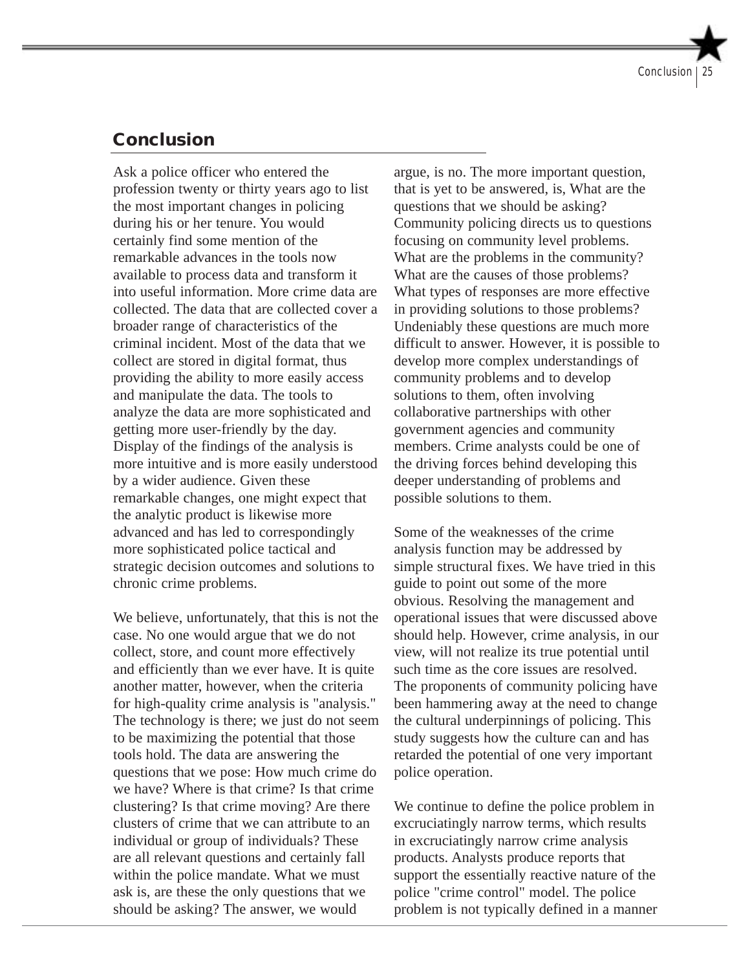# **Conclusion**

Ask a police officer who entered the profession twenty or thirty years ago to list the most important changes in policing during his or her tenure. You would certainly find some mention of the remarkable advances in the tools now available to process data and transform it into useful information. More crime data are collected. The data that are collected cover a broader range of characteristics of the criminal incident. Most of the data that we collect are stored in digital format, thus providing the ability to more easily access and manipulate the data. The tools to analyze the data are more sophisticated and getting more user-friendly by the day. Display of the findings of the analysis is more intuitive and is more easily understood by a wider audience. Given these remarkable changes, one might expect that the analytic product is likewise more advanced and has led to correspondingly more sophisticated police tactical and strategic decision outcomes and solutions to chronic crime problems.

We believe, unfortunately, that this is not the case. No one would argue that we do not collect, store, and count more effectively and efficiently than we ever have. It is quite another matter, however, when the criteria for high-quality crime analysis is "analysis." The technology is there; we just do not seem to be maximizing the potential that those tools hold. The data are answering the questions that we pose: How much crime do we have? Where is that crime? Is that crime clustering? Is that crime moving? Are there clusters of crime that we can attribute to an individual or group of individuals? These are all relevant questions and certainly fall within the police mandate. What we must ask is, are these the only questions that we should be asking? The answer, we would

argue, is no. The more important question, that is yet to be answered, is, What are the questions that we should be asking? Community policing directs us to questions focusing on community level problems. What are the problems in the community? What are the causes of those problems? What types of responses are more effective in providing solutions to those problems? Undeniably these questions are much more difficult to answer. However, it is possible to develop more complex understandings of community problems and to develop solutions to them, often involving collaborative partnerships with other government agencies and community members. Crime analysts could be one of the driving forces behind developing this deeper understanding of problems and possible solutions to them.

Some of the weaknesses of the crime analysis function may be addressed by simple structural fixes. We have tried in this guide to point out some of the more obvious. Resolving the management and operational issues that were discussed above should help. However, crime analysis, in our view, will not realize its true potential until such time as the core issues are resolved. The proponents of community policing have been hammering away at the need to change the cultural underpinnings of policing. This study suggests how the culture can and has retarded the potential of one very important police operation.

We continue to define the police problem in excruciatingly narrow terms, which results in excruciatingly narrow crime analysis products. Analysts produce reports that support the essentially reactive nature of the police "crime control" model. The police problem is not typically defined in a manner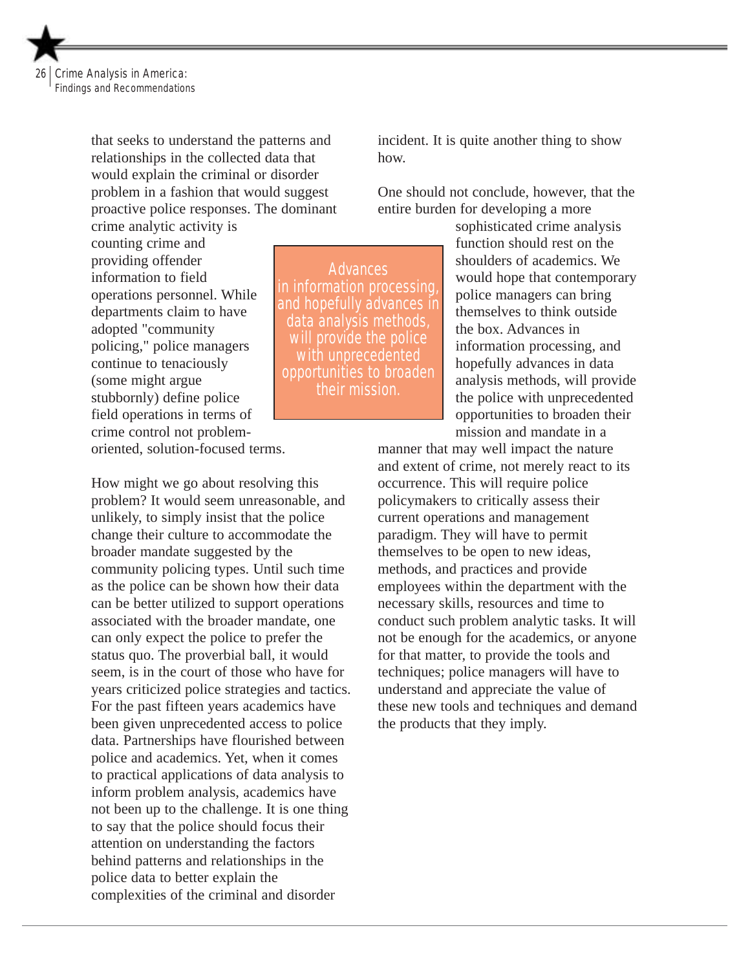

that seeks to understand the patterns and relationships in the collected data that would explain the criminal or disorder problem in a fashion that would suggest proactive police responses. The dominant crime analytic activity is

counting crime and providing offender information to field operations personnel. While departments claim to have adopted "community policing," police managers continue to tenaciously (some might argue stubbornly) define police field operations in terms of crime control not problemoriented, solution-focused terms.

How might we go about resolving this problem? It would seem unreasonable, and unlikely, to simply insist that the police change their culture to accommodate the broader mandate suggested by the community policing types. Until such time as the police can be shown how their data can be better utilized to support operations associated with the broader mandate, one can only expect the police to prefer the status quo. The proverbial ball, it would seem, is in the court of those who have for years criticized police strategies and tactics. For the past fifteen years academics have been given unprecedented access to police data. Partnerships have flourished between police and academics. Yet, when it comes to practical applications of data analysis to inform problem analysis, academics have not been up to the challenge. It is one thing to say that the police should focus their attention on understanding the factors behind patterns and relationships in the police data to better explain the complexities of the criminal and disorder

incident. It is quite another thing to show how.

One should not conclude, however, that the entire burden for developing a more

**Advances** in information processing, and hopefully advances in data analysis methods, will provide the police with unprecedented opportunities to broaden their mission.

sophisticated crime analysis function should rest on the shoulders of academics. We would hope that contemporary police managers can bring themselves to think outside the box. Advances in information processing, and hopefully advances in data analysis methods, will provide the police with unprecedented opportunities to broaden their mission and mandate in a

manner that may well impact the nature and extent of crime, not merely react to its occurrence. This will require police policymakers to critically assess their current operations and management paradigm. They will have to permit themselves to be open to new ideas, methods, and practices and provide employees within the department with the necessary skills, resources and time to conduct such problem analytic tasks. It will not be enough for the academics, or anyone for that matter, to provide the tools and techniques; police managers will have to understand and appreciate the value of these new tools and techniques and demand the products that they imply.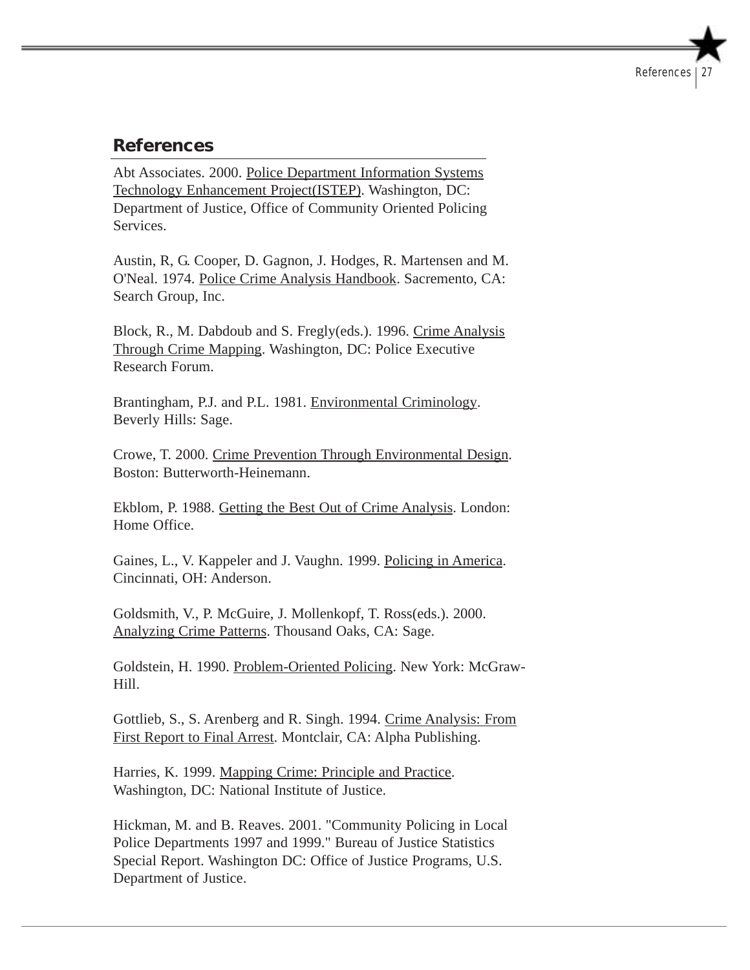# **References**

Abt Associates. 2000. Police Department Information Systems Technology Enhancement Project(ISTEP). Washington, DC: Department of Justice, Office of Community Oriented Policing Services.

Austin, R, G. Cooper, D. Gagnon, J. Hodges, R. Martensen and M. O'Neal. 1974. Police Crime Analysis Handbook. Sacremento, CA: Search Group, Inc.

Block, R., M. Dabdoub and S. Fregly(eds.). 1996. Crime Analysis Through Crime Mapping. Washington, DC: Police Executive Research Forum.

Brantingham, P.J. and P.L. 1981. Environmental Criminology. Beverly Hills: Sage.

Crowe, T. 2000. Crime Prevention Through Environmental Design. Boston: Butterworth-Heinemann.

Ekblom, P. 1988. Getting the Best Out of Crime Analysis. London: Home Office.

Gaines, L., V. Kappeler and J. Vaughn. 1999. Policing in America. Cincinnati, OH: Anderson.

Goldsmith, V., P. McGuire, J. Mollenkopf, T. Ross(eds.). 2000. Analyzing Crime Patterns. Thousand Oaks, CA: Sage.

Goldstein, H. 1990. Problem-Oriented Policing. New York: McGraw-Hill.

Gottlieb, S., S. Arenberg and R. Singh. 1994. Crime Analysis: From First Report to Final Arrest. Montclair, CA: Alpha Publishing.

Harries, K. 1999. Mapping Crime: Principle and Practice. Washington, DC: National Institute of Justice.

Hickman, M. and B. Reaves. 2001. "Community Policing in Local Police Departments 1997 and 1999." Bureau of Justice Statistics Special Report. Washington DC: Office of Justice Programs, U.S. Department of Justice.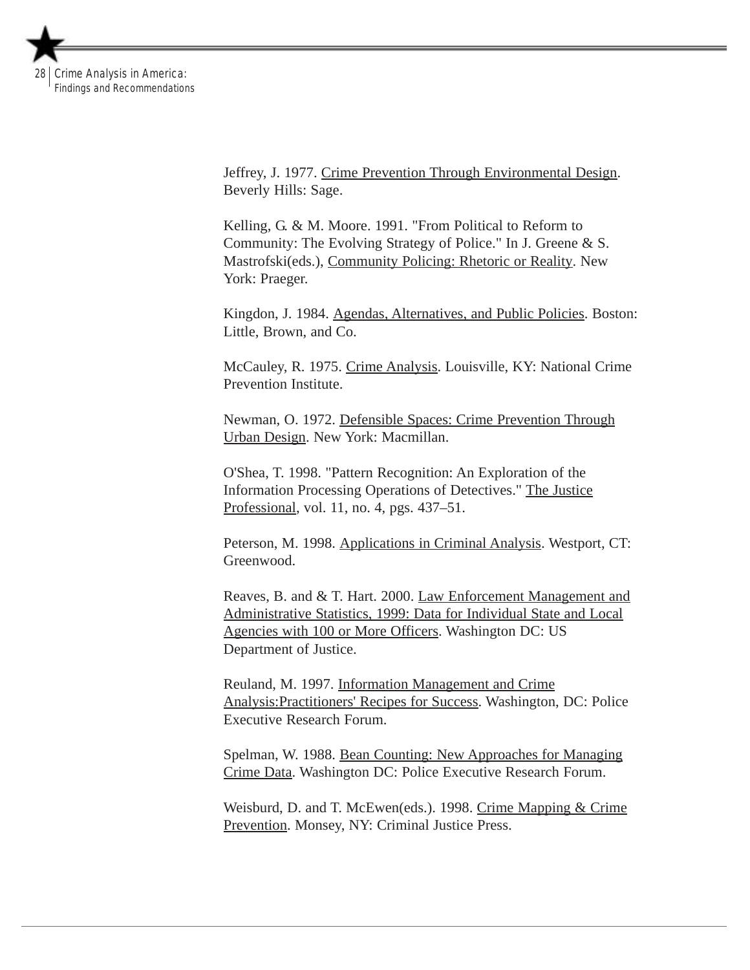

Jeffrey, J. 1977. Crime Prevention Through Environmental Design. Beverly Hills: Sage.

Kelling, G. & M. Moore. 1991. "From Political to Reform to Community: The Evolving Strategy of Police." In J. Greene & S. Mastrofski(eds.), Community Policing: Rhetoric or Reality. New York: Praeger.

Kingdon, J. 1984. Agendas, Alternatives, and Public Policies. Boston: Little, Brown, and Co.

McCauley, R. 1975. Crime Analysis. Louisville, KY: National Crime Prevention Institute.

Newman, O. 1972. Defensible Spaces: Crime Prevention Through Urban Design. New York: Macmillan.

O'Shea, T. 1998. "Pattern Recognition: An Exploration of the Information Processing Operations of Detectives." The Justice Professional, vol. 11, no. 4, pgs. 437–51.

Peterson, M. 1998. Applications in Criminal Analysis. Westport, CT: Greenwood.

Reaves, B. and & T. Hart. 2000. Law Enforcement Management and Administrative Statistics, 1999: Data for Individual State and Local Agencies with 100 or More Officers. Washington DC: US Department of Justice.

Reuland, M. 1997. Information Management and Crime Analysis:Practitioners' Recipes for Success. Washington, DC: Police Executive Research Forum.

Spelman, W. 1988. Bean Counting: New Approaches for Managing Crime Data. Washington DC: Police Executive Research Forum.

Weisburd, D. and T. McEwen(eds.). 1998. Crime Mapping & Crime Prevention. Monsey, NY: Criminal Justice Press.